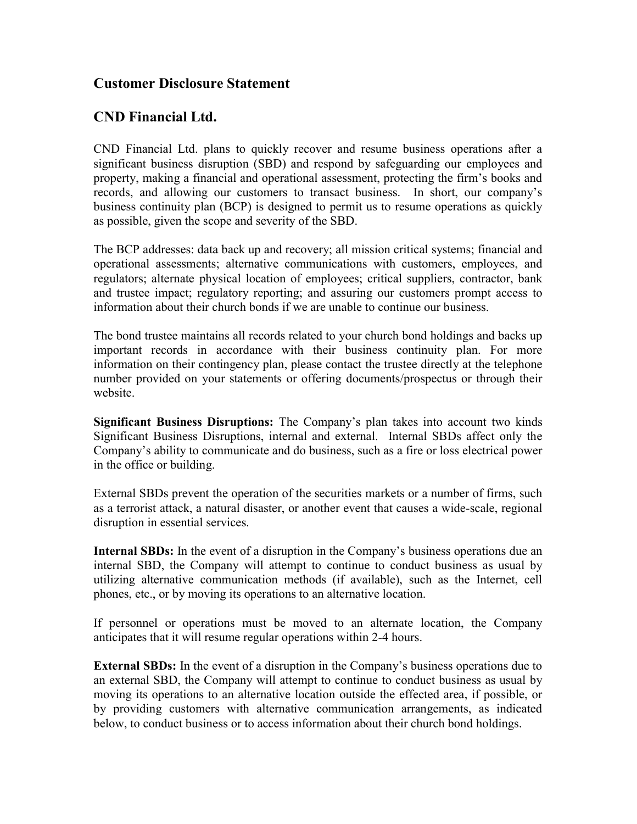## Customer Disclosure Statement

## CND Financial Ltd.

CND Financial Ltd. plans to quickly recover and resume business operations after a significant business disruption (SBD) and respond by safeguarding our employees and property, making a financial and operational assessment, protecting the firm's books and records, and allowing our customers to transact business. In short, our company's business continuity plan (BCP) is designed to permit us to resume operations as quickly as possible, given the scope and severity of the SBD.

The BCP addresses: data back up and recovery; all mission critical systems; financial and operational assessments; alternative communications with customers, employees, and regulators; alternate physical location of employees; critical suppliers, contractor, bank and trustee impact; regulatory reporting; and assuring our customers prompt access to information about their church bonds if we are unable to continue our business.

The bond trustee maintains all records related to your church bond holdings and backs up important records in accordance with their business continuity plan. For more information on their contingency plan, please contact the trustee directly at the telephone number provided on your statements or offering documents/prospectus or through their website.

Significant Business Disruptions: The Company's plan takes into account two kinds Significant Business Disruptions, internal and external. Internal SBDs affect only the Company's ability to communicate and do business, such as a fire or loss electrical power in the office or building.

External SBDs prevent the operation of the securities markets or a number of firms, such as a terrorist attack, a natural disaster, or another event that causes a wide-scale, regional disruption in essential services.

Internal SBDs: In the event of a disruption in the Company's business operations due an internal SBD, the Company will attempt to continue to conduct business as usual by utilizing alternative communication methods (if available), such as the Internet, cell phones, etc., or by moving its operations to an alternative location.

If personnel or operations must be moved to an alternate location, the Company anticipates that it will resume regular operations within 2-4 hours.

External SBDs: In the event of a disruption in the Company's business operations due to an external SBD, the Company will attempt to continue to conduct business as usual by moving its operations to an alternative location outside the effected area, if possible, or by providing customers with alternative communication arrangements, as indicated below, to conduct business or to access information about their church bond holdings.